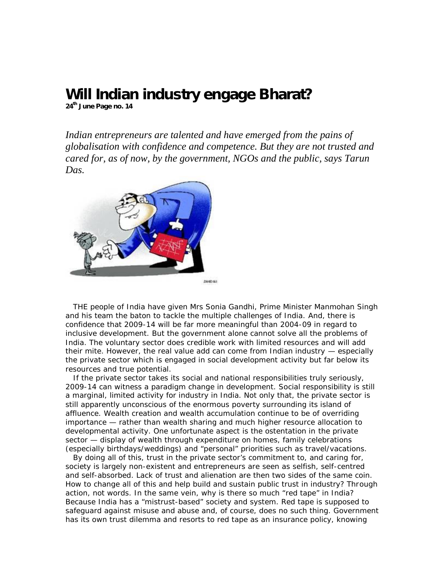## **Will Indian industry engage Bharat?**

**24th June Page no. 14**

*Indian entrepreneurs are talented and have emerged from the pains of globalisation with confidence and competence. But they are not trusted and cared for, as of now, by the government, NGOs and the public, says Tarun Das.*



THE people of India have given Mrs Sonia Gandhi, Prime Minister Manmohan Singh and his team the baton to tackle the multiple challenges of India. And, there is confidence that 2009-14 will be far more meaningful than 2004-09 in regard to inclusive development. But the government alone cannot solve all the problems of India. The voluntary sector does credible work with limited resources and will add their mite. However, the real value add can come from Indian industry — especially the private sector which is engaged in social development activity but far below its resources and true potential.

If the private sector takes its social and national responsibilities truly seriously, 2009-14 can witness a paradigm change in development. Social responsibility is still a marginal, limited activity for industry in India. Not only that, the private sector is still apparently unconscious of the enormous poverty surrounding its island of affluence. Wealth creation and wealth accumulation continue to be of overriding importance — rather than wealth sharing and much higher resource allocation to developmental activity. One unfortunate aspect is the ostentation in the private sector — display of wealth through expenditure on homes, family celebrations (especially birthdays/weddings) and "personal" priorities such as travel/vacations.

By doing all of this, trust in the private sector's commitment to, and caring for, society is largely non-existent and entrepreneurs are seen as selfish, self-centred and self-absorbed. Lack of trust and alienation are then two sides of the same coin. How to change all of this and help build and sustain public trust in industry? Through action, not words. In the same vein, why is there so much "red tape" in India? Because India has a "mistrust-based" society and system. Red tape is supposed to safeguard against misuse and abuse and, of course, does no such thing. Government has its own trust dilemma and resorts to red tape as an insurance policy, knowing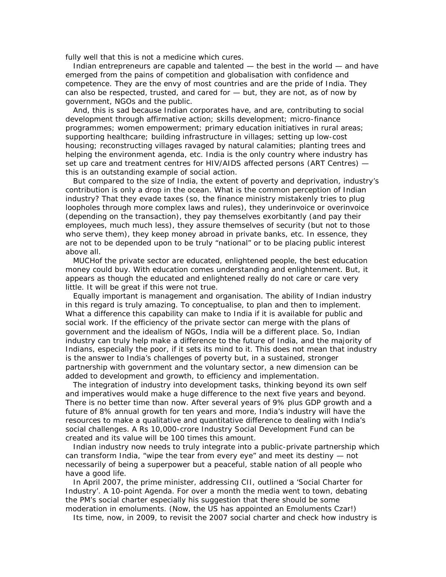fully well that this is not a medicine which cures.

Indian entrepreneurs are capable and talented — the best in the world — and have emerged from the pains of competition and globalisation with confidence and competence. They are the envy of most countries and are the pride of India. They can also be respected, trusted, and cared for — but, they are not, as of now by government, NGOs and the public.

And, this is sad because Indian corporates have, and are, contributing to social development through affirmative action; skills development; micro-finance programmes; women empowerment; primary education initiatives in rural areas; supporting healthcare; building infrastructure in villages; setting up low-cost housing; reconstructing villages ravaged by natural calamities; planting trees and helping the environment agenda, etc. India is the only country where industry has set up care and treatment centres for HIV/AIDS affected persons (ART Centres) this is an outstanding example of social action.

But compared to the size of India, the extent of poverty and deprivation, industry's contribution is only a drop in the ocean. What is the common perception of Indian industry? That they evade taxes (so, the finance ministry mistakenly tries to plug loopholes through more complex laws and rules), they underinvoice or overinvoice (depending on the transaction), they pay themselves exorbitantly (and pay their employees, much much less), they assure themselves of security (but not to those who serve them), they keep money abroad in private banks, etc. In essence, they are not to be depended upon to be truly "national" or to be placing public interest above all.

MUCHof the private sector are educated, enlightened people, the best education money could buy. With education comes understanding and enlightenment. But, it appears as though the educated and enlightened really do not care or care very little. It will be great if this were not true.

Equally important is management and organisation. The ability of Indian industry in this regard is truly amazing. To conceptualise, to plan and then to implement. What a difference this capability can make to India if it is available for public and social work. If the efficiency of the private sector can merge with the plans of government and the idealism of NGOs, India will be a different place. So, Indian industry can truly help make a difference to the future of India, and the majority of Indians, especially the poor, if it sets its mind to it. This does not mean that industry is the answer to India's challenges of poverty but, in a sustained, stronger partnership with government and the voluntary sector, a new dimension can be added to development and growth, to efficiency and implementation.

The integration of industry into development tasks, thinking beyond its own self and imperatives would make a huge difference to the next five years and beyond. There is no better time than now. After several years of 9% plus GDP growth and a future of 8% annual growth for ten years and more, India's industry will have the resources to make a qualitative and quantitative difference to dealing with India's social challenges. A Rs 10,000-crore Industry Social Development Fund can be created and its value will be 100 times this amount.

Indian industry now needs to truly integrate into a public-private partnership which can transform India, "wipe the tear from every eye" and meet its destiny — not necessarily of being a superpower but a peaceful, stable nation of all people who have a good life.

In April 2007, the prime minister, addressing CII, outlined a 'Social Charter for Industry'. A 10-point Agenda. For over a month the media went to town, debating the PM's social charter especially his suggestion that there should be some moderation in emoluments. (Now, the US has appointed an Emoluments Czar!)

Its time, now, in 2009, to revisit the 2007 social charter and check how industry is